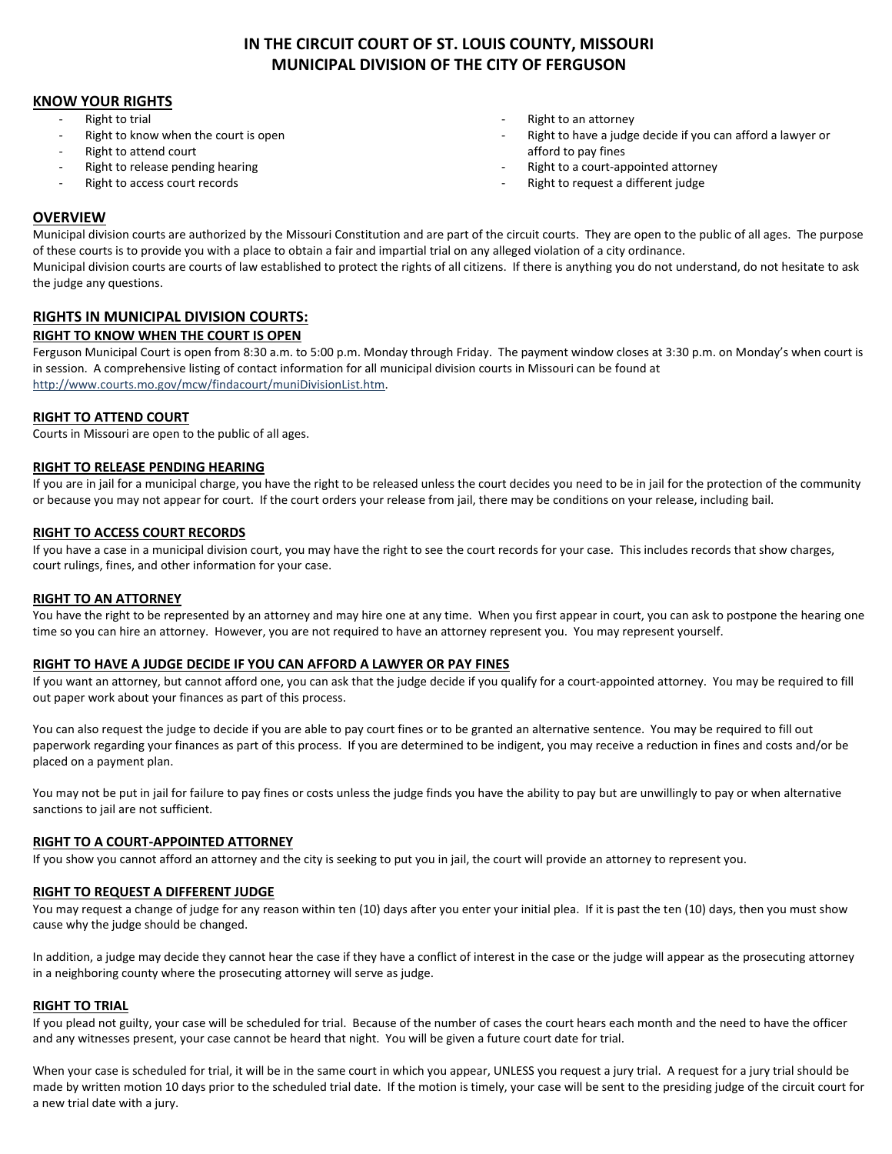## **KNOW YOUR RIGHTS**

- Right to trial
- Right to know when the court is open
- Right to attend court
- Right to release pending hearing
- Right to access court records
- Right to an attorney
- Right to have a judge decide if you can afford a lawyer or afford to pay fines
- Right to a court-appointed attorney
- Right to request a different judge

## **OVERVIEW**

Municipal division courts are authorized by the Missouri Constitution and are part of the circuit courts. They are open to the public of all ages. The purpose of these courts is to provide you with a place to obtain a fair and impartial trial on any alleged violation of a city ordinance. Municipal division courts are courts of law established to protect the rights of all citizens. If there is anything you do not understand, do not hesitate to ask the judge any questions.

# **RIGHTS IN MUNICIPAL DIVISION COURTS:**

### **RIGHT TO KNOW WHEN THE COURT IS OPEN**

Ferguson Municipal Court is open from 8:30 a.m. to 5:00 p.m. Monday through Friday. The payment window closes at 3:30 p.m. on Monday's when court is in session. A comprehensive listing of contact information for all municipal division courts in Missouri can be found at [http://www.courts.mo.gov/mcw/findacourt/muniDivisionList.htm.](http://www.courts.mo.gov/mcw/findacourt/muniDivisionList.htm)

## **RIGHT TO ATTEND COURT**

Courts in Missouri are open to the public of all ages.

### **RIGHT TO RELEASE PENDING HEARING**

If you are in jail for a municipal charge, you have the right to be released unless the court decides you need to be in jail for the protection of the community or because you may not appear for court. If the court orders your release from jail, there may be conditions on your release, including bail.

## **RIGHT TO ACCESS COURT RECORDS**

If you have a case in a municipal division court, you may have the right to see the court records for your case. This includes records that show charges, court rulings, fines, and other information for your case.

### **RIGHT TO AN ATTORNEY**

You have the right to be represented by an attorney and may hire one at any time. When you first appear in court, you can ask to postpone the hearing one time so you can hire an attorney. However, you are not required to have an attorney represent you. You may represent yourself.

### **RIGHT TO HAVE A JUDGE DECIDE IF YOU CAN AFFORD A LAWYER OR PAY FINES**

If you want an attorney, but cannot afford one, you can ask that the judge decide if you qualify for a court-appointed attorney. You may be required to fill out paper work about your finances as part of this process.

You can also request the judge to decide if you are able to pay court fines or to be granted an alternative sentence. You may be required to fill out paperwork regarding your finances as part of this process. If you are determined to be indigent, you may receive a reduction in fines and costs and/or be placed on a payment plan.

You may not be put in jail for failure to pay fines or costs unless the judge finds you have the ability to pay but are unwillingly to pay or when alternative sanctions to jail are not sufficient.

### **RIGHT TO A COURT-APPOINTED ATTORNEY**

If you show you cannot afford an attorney and the city is seeking to put you in jail, the court will provide an attorney to represent you.

### **RIGHT TO REQUEST A DIFFERENT JUDGE**

You may request a change of judge for any reason within ten (10) days after you enter your initial plea. If it is past the ten (10) days, then you must show cause why the judge should be changed.

In addition, a judge may decide they cannot hear the case if they have a conflict of interest in the case or the judge will appear as the prosecuting attorney in a neighboring county where the prosecuting attorney will serve as judge.

### **RIGHT TO TRIAL**

If you plead not guilty, your case will be scheduled for trial. Because of the number of cases the court hears each month and the need to have the officer and any witnesses present, your case cannot be heard that night. You will be given a future court date for trial.

When your case is scheduled for trial, it will be in the same court in which you appear, UNLESS you request a jury trial. A request for a jury trial should be made by written motion 10 days prior to the scheduled trial date. If the motion is timely, your case will be sent to the presiding judge of the circuit court for a new trial date with a jury.